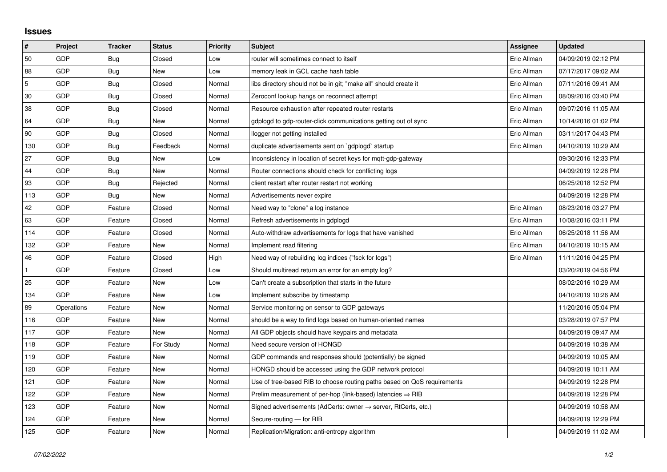## **Issues**

| #   | Project    | <b>Tracker</b> | <b>Status</b> | <b>Priority</b> | <b>Subject</b>                                                             | Assignee    | <b>Updated</b>      |
|-----|------------|----------------|---------------|-----------------|----------------------------------------------------------------------------|-------------|---------------------|
| 50  | GDP        | Bug            | Closed        | Low             | router will sometimes connect to itself                                    | Eric Allman | 04/09/2019 02:12 PM |
| 88  | GDP        | Bug            | New           | Low             | memory leak in GCL cache hash table                                        | Eric Allman | 07/17/2017 09:02 AM |
| 5   | GDP        | Bug            | Closed        | Normal          | libs directory should not be in git; "make all" should create it           | Eric Allman | 07/11/2016 09:41 AM |
| 30  | GDP        | Bug            | Closed        | Normal          | Zeroconf lookup hangs on reconnect attempt                                 | Eric Allman | 08/09/2016 03:40 PM |
| 38  | GDP        | Bug            | Closed        | Normal          | Resource exhaustion after repeated router restarts                         | Eric Allman | 09/07/2016 11:05 AM |
| 64  | GDP        | Bug            | <b>New</b>    | Normal          | gdplogd to gdp-router-click communications getting out of sync             | Eric Allman | 10/14/2016 01:02 PM |
| 90  | GDP        | Bug            | Closed        | Normal          | llogger not getting installed                                              | Eric Allman | 03/11/2017 04:43 PM |
| 130 | GDP        | Bug            | Feedback      | Normal          | duplicate advertisements sent on `gdplogd` startup                         | Eric Allman | 04/10/2019 10:29 AM |
| 27  | GDP        | Bug            | New           | Low             | Inconsistency in location of secret keys for mgtt-gdp-gateway              |             | 09/30/2016 12:33 PM |
| 44  | GDP        | Bug            | <b>New</b>    | Normal          | Router connections should check for conflicting logs                       |             | 04/09/2019 12:28 PM |
| 93  | GDP        | <b>Bug</b>     | Rejected      | Normal          | client restart after router restart not working                            |             | 06/25/2018 12:52 PM |
| 113 | GDP        | Bug            | New           | Normal          | Advertisements never expire                                                |             | 04/09/2019 12:28 PM |
| 42  | GDP        | Feature        | Closed        | Normal          | Need way to "clone" a log instance                                         | Eric Allman | 08/23/2016 03:27 PM |
| 63  | GDP        | Feature        | Closed        | Normal          | Refresh advertisements in gdplogd                                          | Eric Allman | 10/08/2016 03:11 PM |
| 114 | GDP        | Feature        | Closed        | Normal          | Auto-withdraw advertisements for logs that have vanished                   | Eric Allman | 06/25/2018 11:56 AM |
| 132 | GDP        | Feature        | <b>New</b>    | Normal          | Implement read filtering                                                   | Eric Allman | 04/10/2019 10:15 AM |
| 46  | GDP        | Feature        | Closed        | High            | Need way of rebuilding log indices ("fsck for logs")                       | Eric Allman | 11/11/2016 04:25 PM |
|     | GDP        | Feature        | Closed        | Low             | Should multiread return an error for an empty log?                         |             | 03/20/2019 04:56 PM |
| 25  | GDP        | Feature        | New           | Low             | Can't create a subscription that starts in the future                      |             | 08/02/2016 10:29 AM |
| 134 | GDP        | Feature        | New           | Low             | Implement subscribe by timestamp                                           |             | 04/10/2019 10:26 AM |
| 89  | Operations | Feature        | New           | Normal          | Service monitoring on sensor to GDP gateways                               |             | 11/20/2016 05:04 PM |
| 116 | GDP        | Feature        | New           | Normal          | should be a way to find logs based on human-oriented names                 |             | 03/28/2019 07:57 PM |
| 117 | GDP        | Feature        | <b>New</b>    | Normal          | All GDP objects should have keypairs and metadata                          |             | 04/09/2019 09:47 AM |
| 118 | GDP        | Feature        | For Study     | Normal          | Need secure version of HONGD                                               |             | 04/09/2019 10:38 AM |
| 119 | GDP        | Feature        | <b>New</b>    | Normal          | GDP commands and responses should (potentially) be signed                  |             | 04/09/2019 10:05 AM |
| 120 | GDP        | Feature        | New           | Normal          | HONGD should be accessed using the GDP network protocol                    |             | 04/09/2019 10:11 AM |
| 121 | GDP        | Feature        | New           | Normal          | Use of tree-based RIB to choose routing paths based on QoS requirements    |             | 04/09/2019 12:28 PM |
| 122 | GDP        | Feature        | <b>New</b>    | Normal          | Prelim measurement of per-hop (link-based) latencies $\Rightarrow$ RIB     |             | 04/09/2019 12:28 PM |
| 123 | GDP        | Feature        | New           | Normal          | Signed advertisements (AdCerts: owner $\rightarrow$ server, RtCerts, etc.) |             | 04/09/2019 10:58 AM |
| 124 | GDP        | Feature        | New           | Normal          | Secure-routing - for RIB                                                   |             | 04/09/2019 12:29 PM |
| 125 | GDP        | Feature        | New           | Normal          | Replication/Migration: anti-entropy algorithm                              |             | 04/09/2019 11:02 AM |